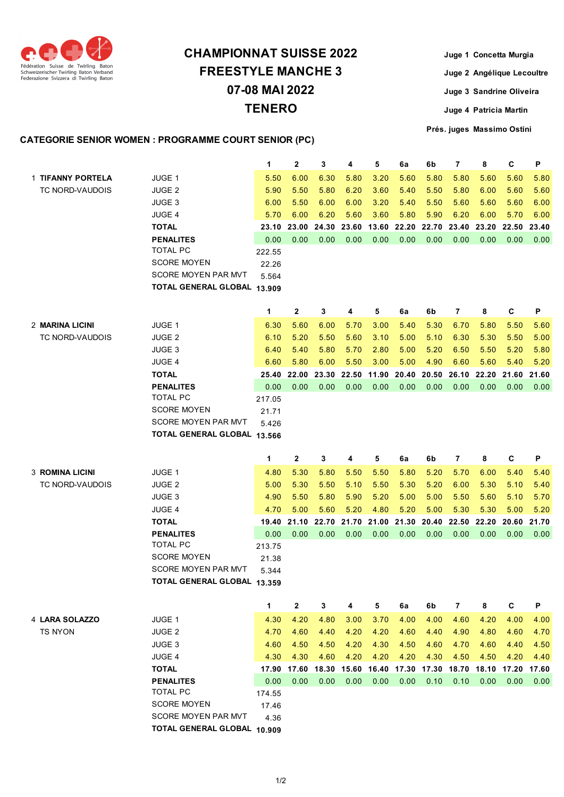

## **TENERO CHAMPIONNAT SUISSE 2022 FREESTYLE MANCHE 3 07-08 MAI 2022**

**Juge 1 Concetta Murgia Juge 2 Angélique Lecoultre Juge 3 Sandrine Oliveira Juge 4 Patricia Martin Prés. juges Massimo Ostini**

## **CATEGORIE SENIOR WOMEN : PROGRAMME COURT SENIOR (PC)**

|                        |                                                    | 1             | $\mathbf{2}$  | 3             | 4                       | 5     | 6a    | 6b    | $\overline{7}$                      | 8     | C     | P     |
|------------------------|----------------------------------------------------|---------------|---------------|---------------|-------------------------|-------|-------|-------|-------------------------------------|-------|-------|-------|
| 1 TIFANNY PORTELA      | <b>JUGE 1</b>                                      | 5.50          | 6.00          | 6.30          | 5.80                    | 3.20  | 5.60  | 5.80  | 5.80                                | 5.60  | 5.60  | 5.80  |
| TC NORD-VAUDOIS        | <b>JUGE 2</b>                                      | 5.90          | 5.50          | 5.80          | 6.20                    | 3.60  | 5.40  | 5.50  | 5.80                                | 6.00  | 5.60  | 5.60  |
|                        | JUGE 3                                             | 6.00          | 5.50          | 6.00          | 6.00                    | 3.20  | 5.40  | 5.50  | 5.60                                | 5.60  | 5.60  | 6.00  |
|                        | <b>JUGE 4</b>                                      | 5.70          | 6.00          | 6.20          | 5.60                    | 3.60  | 5.80  | 5.90  | 6.20                                | 6.00  | 5.70  | 6.00  |
|                        | <b>TOTAL</b>                                       | 23.10         | 23.00         | 24.30         | 23.60                   | 13.60 | 22.20 | 22.70 | 23.40                               | 23.20 | 22.50 | 23.40 |
|                        | <b>PENALITES</b>                                   | 0.00          | 0.00          | 0.00          | 0.00                    | 0.00  | 0.00  | 0.00  | 0.00                                | 0.00  | 0.00  | 0.00  |
|                        | <b>TOTAL PC</b>                                    | 222.55        |               |               |                         |       |       |       |                                     |       |       |       |
|                        | <b>SCORE MOYEN</b>                                 | 22.26         |               |               |                         |       |       |       |                                     |       |       |       |
|                        | <b>SCORE MOYEN PAR MVT</b>                         | 5.564         |               |               |                         |       |       |       |                                     |       |       |       |
|                        | TOTAL GENERAL GLOBAL 13.909                        |               |               |               |                         |       |       |       |                                     |       |       |       |
|                        |                                                    |               |               |               |                         |       |       |       |                                     |       |       |       |
|                        |                                                    | 1             | $\mathbf{2}$  | 3             | 4                       | 5     | 6a    | 6b    | $\overline{7}$                      | 8     | C     | P     |
| 2 MARINA LICINI        | JUGE 1                                             | 6.30          | 5.60          | 6.00          | 5.70                    | 3.00  | 5.40  | 5.30  | 6.70                                | 5.80  | 5.50  | 5.60  |
| TC NORD-VAUDOIS        | <b>JUGE 2</b>                                      | 6.10          | 5.20          | 5.50          | 5.60                    | 3.10  | 5.00  | 5.10  | 6.30                                | 5.30  | 5.50  | 5.00  |
|                        | <b>JUGE 3</b>                                      | 6.40          | 5.40          | 5.80          | 5.70                    | 2.80  | 5.00  | 5.20  | 6.50                                | 5.50  | 5.20  | 5.80  |
|                        | <b>JUGE 4</b>                                      | 6.60          | 5.80          | 6.00          | 5.50                    | 3.00  | 5.00  | 4.90  | 6.60                                | 5.60  | 5.40  | 5.20  |
|                        | <b>TOTAL</b>                                       | 25.40         | 22.00         | 23.30         | 22.50                   | 11.90 | 20.40 | 20.50 | 26.10                               | 22.20 | 21.60 | 21.60 |
|                        | <b>PENALITES</b>                                   | 0.00          | 0.00          | 0.00          | 0.00                    | 0.00  | 0.00  | 0.00  | 0.00                                | 0.00  | 0.00  | 0.00  |
|                        | <b>TOTAL PC</b>                                    | 217.05        |               |               |                         |       |       |       |                                     |       |       |       |
|                        | <b>SCORE MOYEN</b>                                 | 21.71         |               |               |                         |       |       |       |                                     |       |       |       |
|                        | <b>SCORE MOYEN PAR MVT</b>                         | 5.426         |               |               |                         |       |       |       |                                     |       |       |       |
|                        | TOTAL GENERAL GLOBAL 13.566                        |               |               |               |                         |       |       |       |                                     |       |       |       |
|                        |                                                    |               |               |               |                         |       |       |       |                                     |       |       |       |
|                        |                                                    |               |               |               |                         |       |       |       |                                     |       |       |       |
|                        |                                                    | 1             | $\mathbf{2}$  | 3             | 4                       | 5     | 6a    | 6b    | $\overline{7}$                      | 8     | C     | P     |
| <b>3 ROMINA LICINI</b> | <b>JUGE 1</b>                                      | 4.80          | 5.30          | 5.80          | 5.50                    | 5.50  | 5.80  | 5.20  | 5.70                                | 6.00  | 5.40  | 5.40  |
| TC NORD-VAUDOIS        | <b>JUGE 2</b>                                      | 5.00          | 5.30          | 5.50          | 5.10                    | 5.50  | 5.30  | 5.20  | 6.00                                | 5.30  | 5.10  | 5.40  |
|                        | <b>JUGE 3</b>                                      | 4.90          | 5.50          | 5.80          | 5.90                    | 5.20  | 5.00  | 5.00  | 5.50                                | 5.60  | 5.10  | 5.70  |
|                        | <b>JUGE 4</b>                                      | 4.70          | 5.00          | 5.60          | 5.20                    | 4.80  | 5.20  | 5.00  | 5.30                                | 5.30  | 5.00  | 5.20  |
|                        | <b>TOTAL</b><br><b>PENALITES</b>                   | 19.40<br>0.00 | 21.10<br>0.00 | 22.70<br>0.00 | 21.70<br>0.00           | 21.00 | 21.30 | 20.40 | 22.50                               | 22.20 | 20.60 | 21.70 |
|                        | <b>TOTAL PC</b>                                    | 213.75        |               |               |                         | 0.00  | 0.00  | 0.00  | 0.00                                | 0.00  | 0.00  | 0.00  |
|                        | <b>SCORE MOYEN</b>                                 | 21.38         |               |               |                         |       |       |       |                                     |       |       |       |
|                        | <b>SCORE MOYEN PAR MVT</b>                         | 5.344         |               |               |                         |       |       |       |                                     |       |       |       |
|                        | TOTAL GENERAL GLOBAL 13.359                        |               |               |               |                         |       |       |       |                                     |       |       |       |
|                        |                                                    |               |               |               |                         |       |       |       |                                     |       |       |       |
|                        |                                                    | 1             | $\mathbf{2}$  | 3             | 4                       | 5     | 6a    | 6b    | $\overline{7}$                      | 8     | C     | Ρ     |
| 4 LARA SOLAZZO         | JUGE 1                                             | 4.30          | 4.20          | 4.80          | 3.00                    | 3.70  | 4.00  | 4.00  | 4.60                                | 4.20  | 4.00  | 4.00  |
| <b>TS NYON</b>         | <b>JUGE 2</b>                                      | 4.70          | 4.60          | 4.40          | 4.20                    | 4.20  | 4.60  | 4.40  | 4.90                                | 4.80  | 4.60  | 4.70  |
|                        | JUGE 3                                             | 4.60          | 4.50          | 4.50          | 4.20                    | 4.30  | 4.50  | 4.60  | 4.70                                | 4.60  | 4.40  | 4.50  |
|                        | JUGE 4                                             | 4.30          | 4.30          | 4.60          | 4.20                    | 4.20  | 4.20  | 4.30  | 4.50                                | 4.50  | 4.20  | 4.40  |
|                        | <b>TOTAL</b>                                       |               |               |               | 17.90 17.60 18.30 15.60 |       |       |       | 16.40 17.30 17.30 18.70 18.10 17.20 |       |       | 17.60 |
|                        | <b>PENALITES</b>                                   | 0.00          | 0.00          | 0.00          | 0.00                    | 0.00  | 0.00  | 0.10  | 0.10                                | 0.00  | 0.00  | 0.00  |
|                        | TOTAL PC                                           | 174.55        |               |               |                         |       |       |       |                                     |       |       |       |
|                        | <b>SCORE MOYEN</b>                                 | 17.46         |               |               |                         |       |       |       |                                     |       |       |       |
|                        | SCORE MOYEN PAR MVT<br>TOTAL GENERAL GLOBAL 10.909 | 4.36          |               |               |                         |       |       |       |                                     |       |       |       |